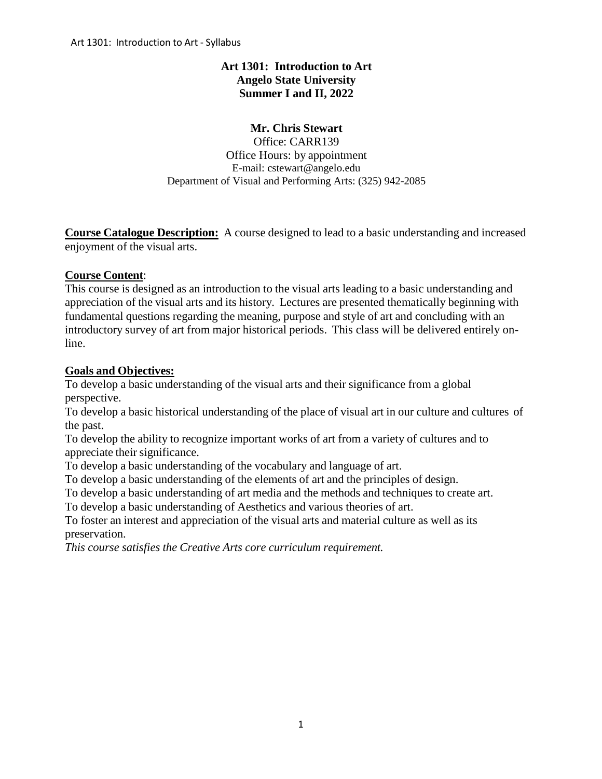# **Art 1301: Introduction to Art Angelo State University Summer I and II, 2022**

# **Mr. Chris Stewart**

Office: CARR139 Office Hours: by appointment E-mail: cstewart@angelo.edu Department of Visual and Performing Arts: (325) 942-2085

**Course Catalogue Description:** A course designed to lead to a basic understanding and increased enjoyment of the visual arts.

# **Course Content**:

This course is designed as an introduction to the visual arts leading to a basic understanding and appreciation of the visual arts and its history. Lectures are presented thematically beginning with fundamental questions regarding the meaning, purpose and style of art and concluding with an introductory survey of art from major historical periods. This class will be delivered entirely online.

# **Goals and Objectives:**

To develop a basic understanding of the visual arts and their significance from a global perspective.

To develop a basic historical understanding of the place of visual art in our culture and cultures of the past.

To develop the ability to recognize important works of art from a variety of cultures and to appreciate their significance.

To develop a basic understanding of the vocabulary and language of art.

To develop a basic understanding of the elements of art and the principles of design.

To develop a basic understanding of art media and the methods and techniques to create art.

To develop a basic understanding of Aesthetics and various theories of art.

To foster an interest and appreciation of the visual arts and material culture as well as its preservation.

*This course satisfies the Creative Arts core curriculum requirement.*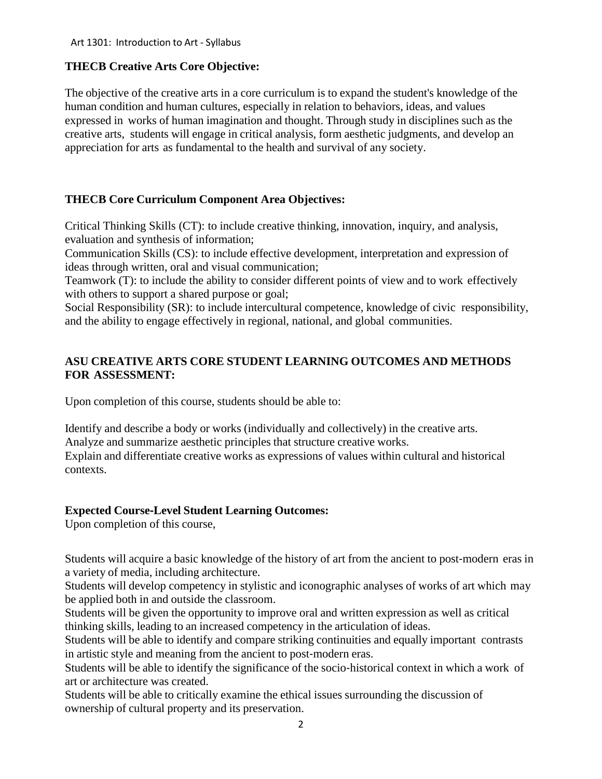# **THECB Creative Arts Core Objective:**

The objective of the creative arts in a core curriculum is to expand the student's knowledge of the human condition and human cultures, especially in relation to behaviors, ideas, and values expressed in works of human imagination and thought. Through study in disciplines such as the creative arts, students will engage in critical analysis, form aesthetic judgments, and develop an appreciation for arts as fundamental to the health and survival of any society.

# **THECB Core Curriculum Component Area Objectives:**

Critical Thinking Skills (CT): to include creative thinking, innovation, inquiry, and analysis, evaluation and synthesis of information;

Communication Skills (CS): to include effective development, interpretation and expression of ideas through written, oral and visual communication;

Teamwork (T): to include the ability to consider different points of view and to work effectively with others to support a shared purpose or goal;

Social Responsibility (SR): to include intercultural competence, knowledge of civic responsibility, and the ability to engage effectively in regional, national, and global communities.

# **ASU CREATIVE ARTS CORE STUDENT LEARNING OUTCOMES AND METHODS FOR ASSESSMENT:**

Upon completion of this course, students should be able to:

Identify and describe a body or works (individually and collectively) in the creative arts. Analyze and summarize aesthetic principles that structure creative works. Explain and differentiate creative works as expressions of values within cultural and historical contexts.

# **Expected Course**‐**Level Student Learning Outcomes:**

Upon completion of this course,

Students will acquire a basic knowledge of the history of art from the ancient to post-modern eras in a variety of media, including architecture.

Students will develop competency in stylistic and iconographic analyses of works of art which may be applied both in and outside the classroom.

Students will be given the opportunity to improve oral and written expression as well as critical thinking skills, leading to an increased competency in the articulation of ideas.

Students will be able to identify and compare striking continuities and equally important contrasts in artistic style and meaning from the ancient to post-modern eras.

Students will be able to identify the significance of the socio-historical context in which a work of art or architecture was created.

Students will be able to critically examine the ethical issues surrounding the discussion of ownership of cultural property and its preservation.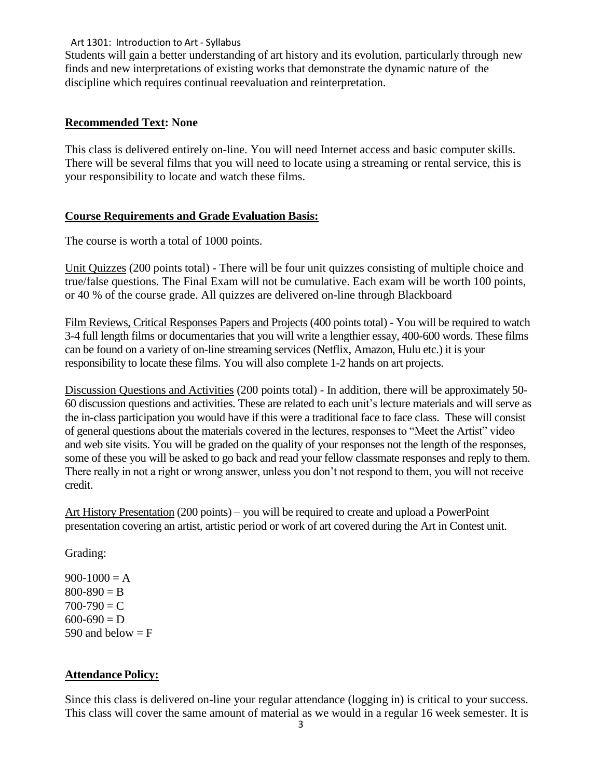#### Art 1301: Introduction to Art ‐ Syllabus

Students will gain a better understanding of art history and its evolution, particularly through new finds and new interpretations of existing works that demonstrate the dynamic nature of the discipline which requires continual reevaluation and reinterpretation.

### **Recommended Text: None**

This class is delivered entirely on-line. You will need Internet access and basic computer skills. There will be several films that you will need to locate using a streaming or rental service, this is your responsibility to locate and watch these films.

# **Course Requirements and Grade Evaluation Basis:**

The course is worth a total of 1000 points.

Unit Quizzes (200 points total) - There will be four unit quizzes consisting of multiple choice and true/false questions. The Final Exam will not be cumulative. Each exam will be worth 100 points, or 40 % of the course grade. All quizzes are delivered on-line through Blackboard

Film Reviews, Critical Responses Papers and Projects (400 points total) - You will be required to watch 3-4 full length films or documentaries that you will write a lengthier essay, 400-600 words. These films can be found on a variety of on-line streaming services (Netflix, Amazon, Hulu etc.) it is your responsibility to locate these films. You will also complete 1-2 hands on art projects.

Discussion Questions and Activities (200 points total) - In addition, there will be approximately 50- 60 discussion questions and activities. These are related to each unit's lecture materials and will serve as the in-class participation you would have if this were a traditional face to face class. These will consist of general questions about the materials covered in the lectures, responses to "Meet the Artist" video and web site visits. You will be graded on the quality of your responses not the length of the responses, some of these you will be asked to go back and read your fellow classmate responses and reply to them. There really in not a right or wrong answer, unless you don't not respond to them, you will not receive credit.

Art History Presentation (200 points) – you will be required to create and upload a PowerPoint presentation covering an artist, artistic period or work of art covered during the Art in Contest unit.

Grading:

 $900-1000 = A$  $800 - 890 = B$  $700 - 790 = C$  $600 - 690 = D$ 590 and below  $=$  F

# **Attendance Policy:**

Since this class is delivered on-line your regular attendance (logging in) is critical to your success. This class will cover the same amount of material as we would in a regular 16 week semester. It is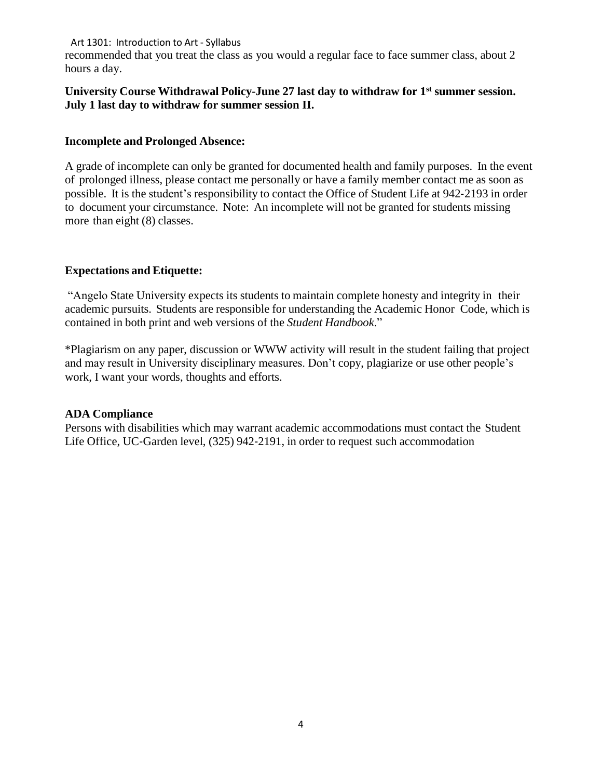#### Art 1301: Introduction to Art ‐ Syllabus

recommended that you treat the class as you would a regular face to face summer class, about 2 hours a day.

### **University Course Withdrawal Policy-June 27 last day to withdraw for 1st summer session. July 1 last day to withdraw for summer session II.**

#### **Incomplete and Prolonged Absence:**

A grade of incomplete can only be granted for documented health and family purposes. In the event of prolonged illness, please contact me personally or have a family member contact me as soon as possible. It is the student's responsibility to contact the Office of Student Life at 942‐2193 in order to document your circumstance. Note: An incomplete will not be granted for students missing more than eight (8) classes.

### **Expectations and Etiquette:**

"Angelo State University expects its students to maintain complete honesty and integrity in their academic pursuits. Students are responsible for understanding the Academic Honor Code, which is contained in both print and web versions of the *Student Handbook*."

\*Plagiarism on any paper, discussion or WWW activity will result in the student failing that project and may result in University disciplinary measures. Don't copy, plagiarize or use other people's work, I want your words, thoughts and efforts.

#### **ADA Compliance**

Persons with disabilities which may warrant academic accommodations must contact the Student Life Office, UC‐Garden level, (325) 942‐2191, in order to request such accommodation